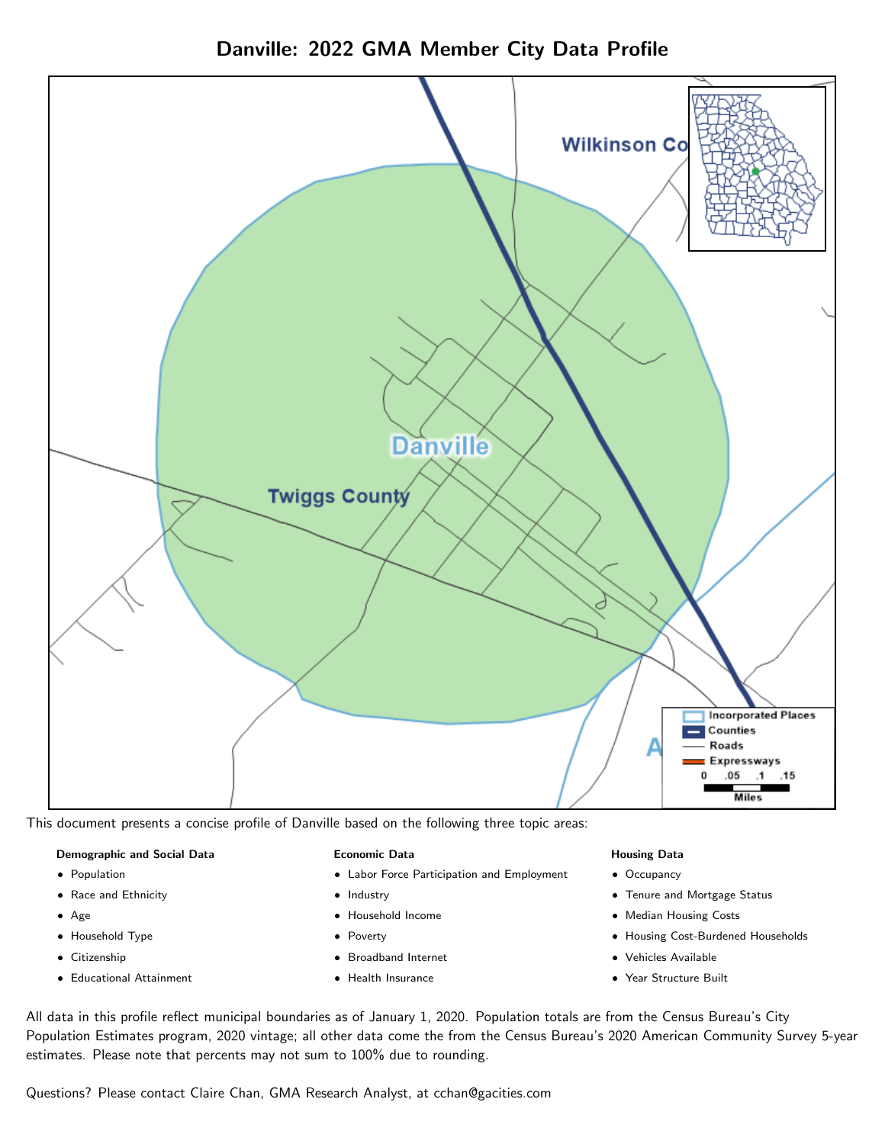



This document presents a concise profile of Danville based on the following three topic areas:

### Demographic and Social Data

- **•** Population
- Race and Ethnicity
- Age
- Household Type
- **Citizenship**
- Educational Attainment

### Economic Data

- Labor Force Participation and Employment
- Industry
- Household Income
- Poverty
- Broadband Internet
- Health Insurance

## Housing Data

- Occupancy
- Tenure and Mortgage Status
- Median Housing Costs
- Housing Cost-Burdened Households
- Vehicles Available
- Year Structure Built

All data in this profile reflect municipal boundaries as of January 1, 2020. Population totals are from the Census Bureau's City Population Estimates program, 2020 vintage; all other data come the from the Census Bureau's 2020 American Community Survey 5-year estimates. Please note that percents may not sum to 100% due to rounding.

Questions? Please contact Claire Chan, GMA Research Analyst, at [cchan@gacities.com.](mailto:cchan@gacities.com)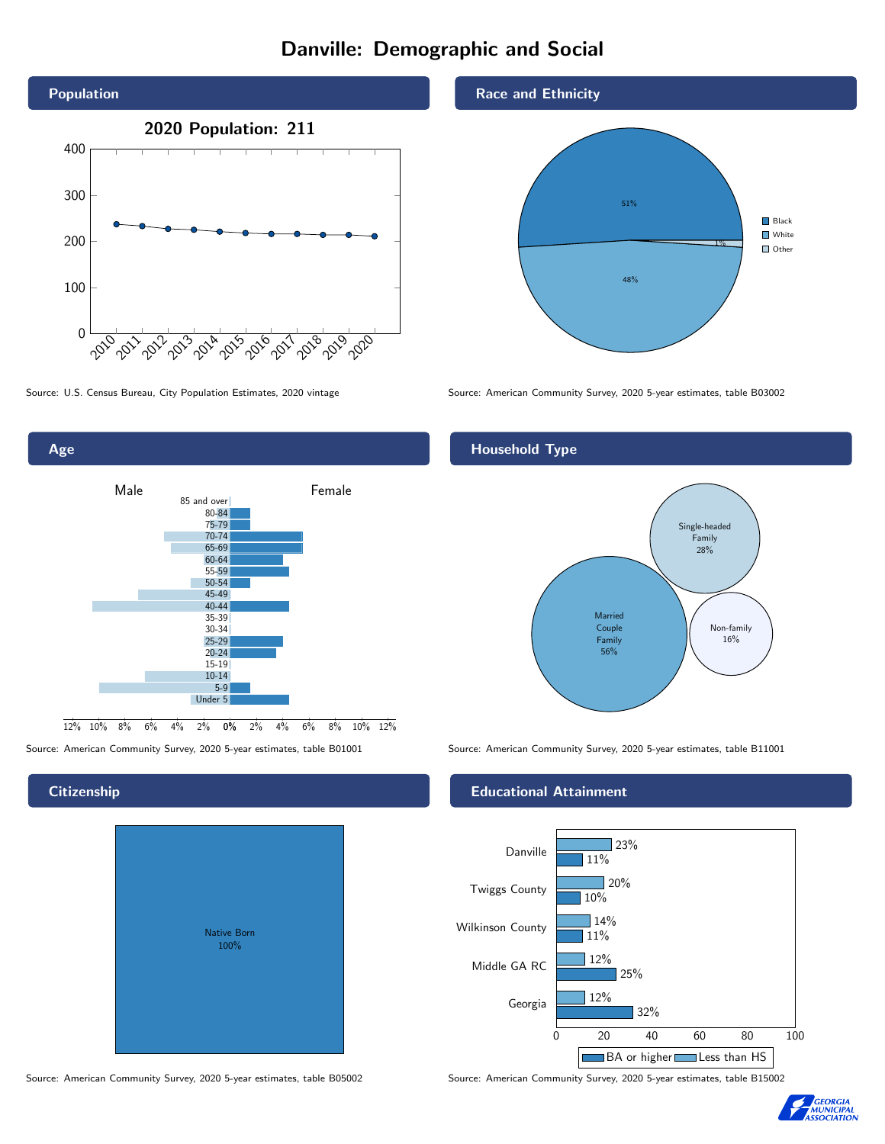## Danville: Demographic and Social



0% 2% 4% 6% 8% 10% 12% Male **Female**  $12\%$  10% 8% 6% 4% 85 and over 80-84 75-79 70-74 65-69 60-64 55-59 50-54 45-49 40-44 35-39 30-34 25-29 20-24 15-19  $10-14$ 5-9 Under 5

## **Citizenship**

Age

|  | Native Born<br>100% |  |
|--|---------------------|--|
|  |                     |  |

Race and Ethnicity



Source: U.S. Census Bureau, City Population Estimates, 2020 vintage Source: American Community Survey, 2020 5-year estimates, table B03002

## Household Type



Source: American Community Survey, 2020 5-year estimates, table B01001 Source: American Community Survey, 2020 5-year estimates, table B11001

## Educational Attainment



Source: American Community Survey, 2020 5-year estimates, table B05002 Source: American Community Survey, 2020 5-year estimates, table B15002

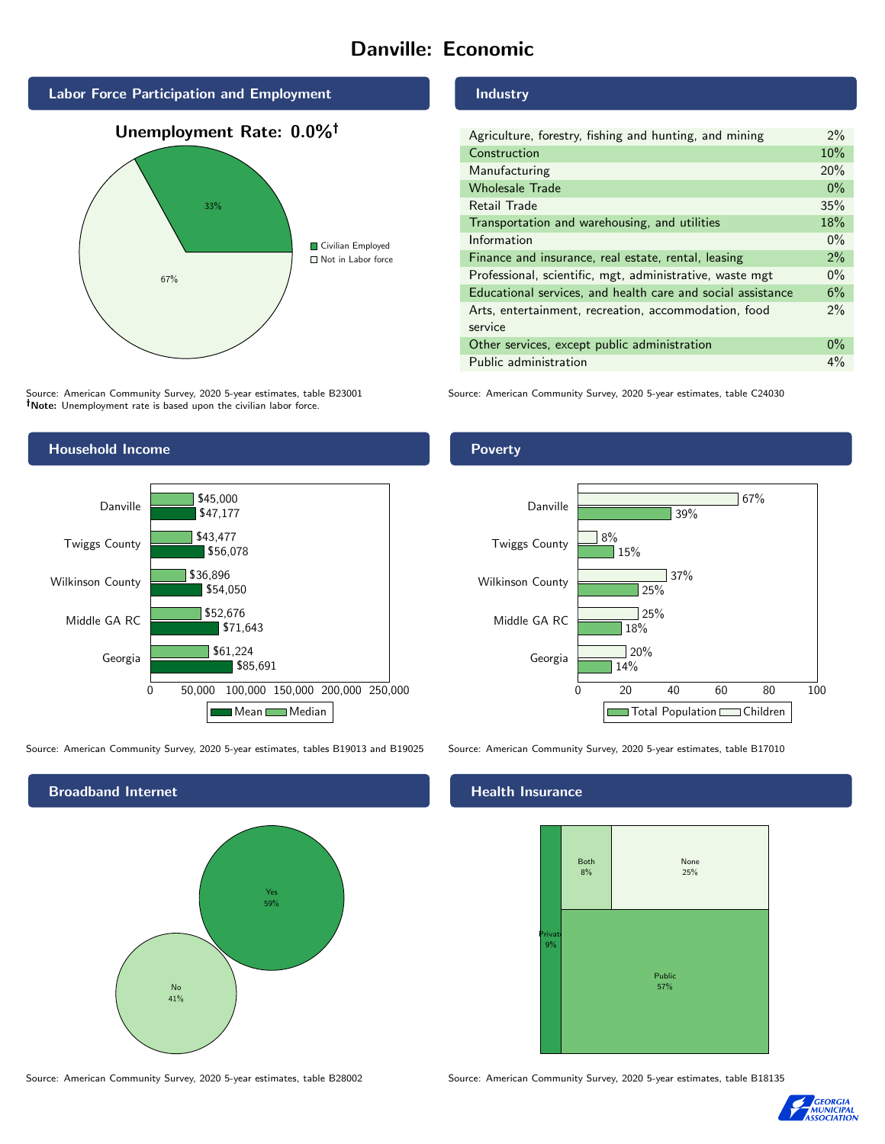# Danville: Economic







Source: American Community Survey, 2020 5-year estimates, table B23001 Note: Unemployment rate is based upon the civilian labor force.



Source: American Community Survey, 2020 5-year estimates, tables B19013 and B19025 Source: American Community Survey, 2020 5-year estimates, table B17010



Industry

| Agriculture, forestry, fishing and hunting, and mining      |  |  |
|-------------------------------------------------------------|--|--|
| Construction                                                |  |  |
| Manufacturing                                               |  |  |
| <b>Wholesale Trade</b>                                      |  |  |
| Retail Trade                                                |  |  |
| Transportation and warehousing, and utilities               |  |  |
| Information                                                 |  |  |
| Finance and insurance, real estate, rental, leasing         |  |  |
| Professional, scientific, mgt, administrative, waste mgt    |  |  |
| Educational services, and health care and social assistance |  |  |
| Arts, entertainment, recreation, accommodation, food        |  |  |
| service                                                     |  |  |
| Other services, except public administration                |  |  |
| Public administration                                       |  |  |

Source: American Community Survey, 2020 5-year estimates, table C24030

Poverty



## Health Insurance



Source: American Community Survey, 2020 5-year estimates, table B28002 Source: American Community Survey, 2020 5-year estimates, table B18135